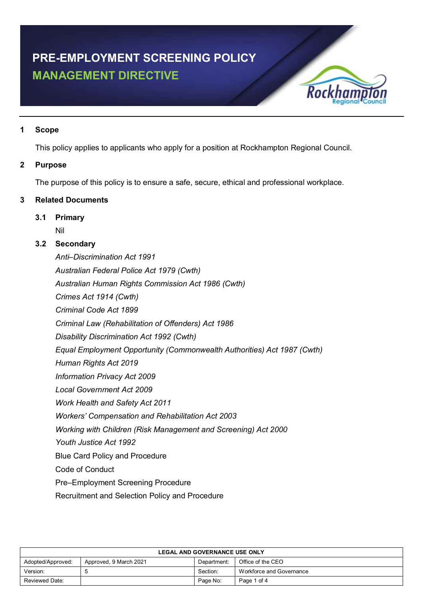# **PRE-EMPLOYMENT SCREENING POLICY MANAGEMENT DIRECTIVE**



# **1 Scope**

This policy applies to applicants who apply for a position at Rockhampton Regional Council.

# **2 Purpose**

The purpose of this policy is to ensure a safe, secure, ethical and professional workplace.

# **3 Related Documents**

# **3.1 Primary**

Nil

# **3.2 Secondary**

*Anti–Discrimination Act 1991 Australian Federal Police Act 1979 (Cwth) Australian Human Rights Commission Act 1986 (Cwth) Crimes Act 1914 (Cwth) Criminal Code Act 1899 Criminal Law (Rehabilitation of Offenders) Act 1986 Disability Discrimination Act 1992 (Cwth) Equal Employment Opportunity (Commonwealth Authorities) Act 1987 (Cwth) Human Rights Act 2019 Information Privacy Act 2009 Local Government Act 2009 Work Health and Safety Act 2011 Workers' Compensation and Rehabilitation Act 2003 Working with Children (Risk Management and Screening) Act 2000 Youth Justice Act 1992* Blue Card Policy and Procedure Code of Conduct Pre–Employment Screening Procedure

Recruitment and Selection Policy and Procedure

| <b>LEGAL AND GOVERNANCE USE ONLY</b> |                        |             |                          |
|--------------------------------------|------------------------|-------------|--------------------------|
| Adopted/Approved:                    | Approved, 9 March 2021 | Department: | Office of the CEO        |
| Version:                             |                        | Section:    | Workforce and Governance |
| Reviewed Date:                       |                        | Page No:    | Page 1 of 4              |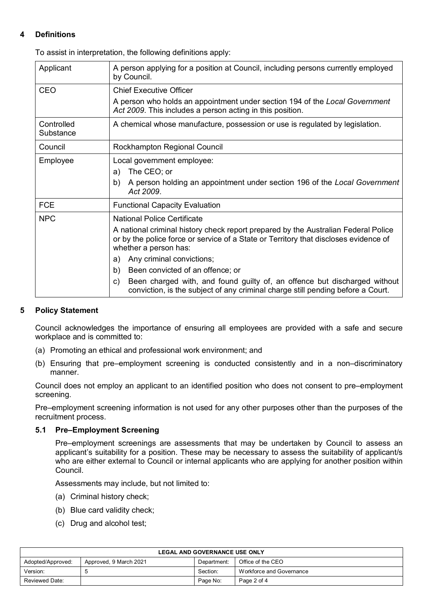# **4 Definitions**

To assist in interpretation, the following definitions apply:

| Applicant               | A person applying for a position at Council, including persons currently employed<br>by Council.                                                                                                    |  |
|-------------------------|-----------------------------------------------------------------------------------------------------------------------------------------------------------------------------------------------------|--|
| CEO                     | <b>Chief Executive Officer</b>                                                                                                                                                                      |  |
|                         | A person who holds an appointment under section 194 of the Local Government<br>Act 2009. This includes a person acting in this position.                                                            |  |
| Controlled<br>Substance | A chemical whose manufacture, possession or use is regulated by legislation.                                                                                                                        |  |
| Council                 | Rockhampton Regional Council                                                                                                                                                                        |  |
| Employee                | Local government employee:                                                                                                                                                                          |  |
|                         | The CEO; or<br>a)                                                                                                                                                                                   |  |
|                         | A person holding an appointment under section 196 of the Local Government<br>b)<br>Act 2009.                                                                                                        |  |
| <b>FCE</b>              | <b>Functional Capacity Evaluation</b>                                                                                                                                                               |  |
| <b>NPC</b>              | <b>National Police Certificate</b>                                                                                                                                                                  |  |
|                         | A national criminal history check report prepared by the Australian Federal Police<br>or by the police force or service of a State or Territory that discloses evidence of<br>whether a person has: |  |
|                         | Any criminal convictions;<br>a)                                                                                                                                                                     |  |
|                         | b)<br>Been convicted of an offence; or                                                                                                                                                              |  |
|                         | Been charged with, and found guilty of, an offence but discharged without<br>C)<br>conviction, is the subject of any criminal charge still pending before a Court.                                  |  |

# **5 Policy Statement**

Council acknowledges the importance of ensuring all employees are provided with a safe and secure workplace and is committed to:

- (a) Promoting an ethical and professional work environment; and
- (b) Ensuring that pre–employment screening is conducted consistently and in a non–discriminatory manner.

Council does not employ an applicant to an identified position who does not consent to pre–employment screening.

Pre–employment screening information is not used for any other purposes other than the purposes of the recruitment process.

# **5.1 Pre–Employment Screening**

Pre–employment screenings are assessments that may be undertaken by Council to assess an applicant's suitability for a position. These may be necessary to assess the suitability of applicant/s who are either external to Council or internal applicants who are applying for another position within Council.

Assessments may include, but not limited to:

- (a) Criminal history check;
- (b) Blue card validity check;
- (c) Drug and alcohol test;

| <b>LEGAL AND GOVERNANCE USE ONLY</b> |                        |             |                          |
|--------------------------------------|------------------------|-------------|--------------------------|
| Adopted/Approved:                    | Approved, 9 March 2021 | Department: | Office of the CEO        |
| Version:                             |                        | Section:    | Workforce and Governance |
| Reviewed Date:                       |                        | Page No:    | Page 2 of 4              |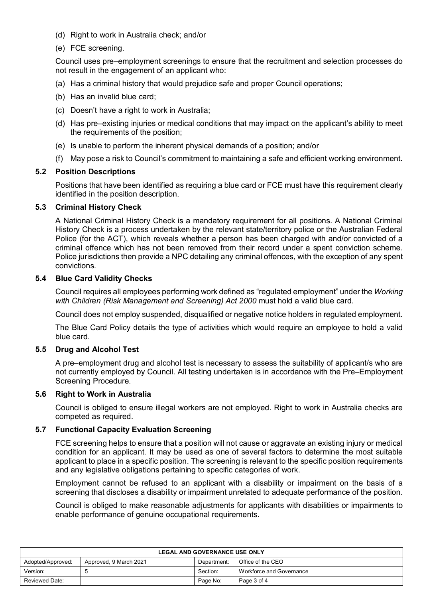- (d) Right to work in Australia check; and/or
- (e) FCE screening.

Council uses pre–employment screenings to ensure that the recruitment and selection processes do not result in the engagement of an applicant who:

- (a) Has a criminal history that would prejudice safe and proper Council operations;
- (b) Has an invalid blue card;
- (c) Doesn't have a right to work in Australia;
- (d) Has pre–existing injuries or medical conditions that may impact on the applicant's ability to meet the requirements of the position;
- (e) Is unable to perform the inherent physical demands of a position; and/or
- (f) May pose a risk to Council's commitment to maintaining a safe and efficient working environment.

#### **5.2 Position Descriptions**

Positions that have been identified as requiring a blue card or FCE must have this requirement clearly identified in the position description.

#### **5.3 Criminal History Check**

A National Criminal History Check is a mandatory requirement for all positions. A National Criminal History Check is a process undertaken by the relevant state/territory police or the Australian Federal Police (for the ACT), which reveals whether a person has been charged with and/or convicted of a criminal offence which has not been removed from their record under a spent conviction scheme. Police jurisdictions then provide a NPC detailing any criminal offences, with the exception of any spent convictions.

# **5.4 Blue Card Validity Checks**

Council requires all employees performing work defined as "regulated employment" under the *Working with Children (Risk Management and Screening) Act 2000* must hold a valid blue card.

Council does not employ suspended, disqualified or negative notice holders in regulated employment.

The Blue Card Policy details the type of activities which would require an employee to hold a valid blue card.

# **5.5 Drug and Alcohol Test**

A pre–employment drug and alcohol test is necessary to assess the suitability of applicant/s who are not currently employed by Council. All testing undertaken is in accordance with the Pre–Employment Screening Procedure.

#### **5.6 Right to Work in Australia**

Council is obliged to ensure illegal workers are not employed. Right to work in Australia checks are competed as required.

#### **5.7 Functional Capacity Evaluation Screening**

FCE screening helps to ensure that a position will not cause or aggravate an existing injury or medical condition for an applicant. It may be used as one of several factors to determine the most suitable applicant to place in a specific position. The screening is relevant to the specific position requirements and any legislative obligations pertaining to specific categories of work.

Employment cannot be refused to an applicant with a disability or impairment on the basis of a screening that discloses a disability or impairment unrelated to adequate performance of the position.

Council is obliged to make reasonable adjustments for applicants with disabilities or impairments to enable performance of genuine occupational requirements.

| <b>LEGAL AND GOVERNANCE USE ONLY</b> |                        |             |                          |
|--------------------------------------|------------------------|-------------|--------------------------|
| Adopted/Approved:                    | Approved, 9 March 2021 | Department: | Office of the CEO        |
| Version:                             |                        | Section:    | Workforce and Governance |
| Reviewed Date:                       |                        | Page No:    | Page 3 of 4              |